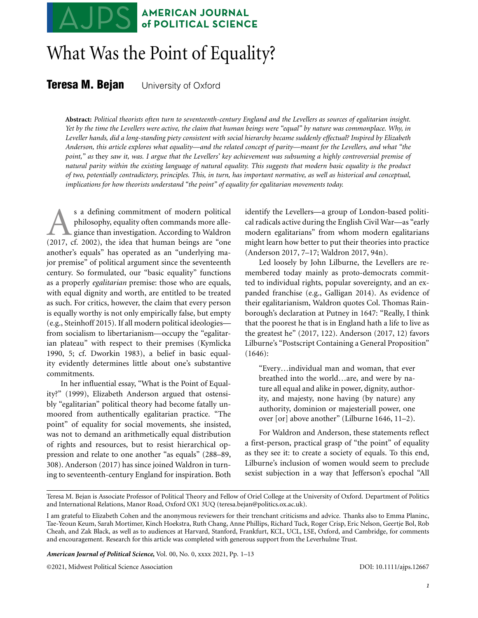## **AMERICAN JOURNAL** of POLITICAL SCIENCE

# What Was the Point of Equality?

**Teresa M. Bejan** University of Oxford

**Abstract:** *Political theorists often turn to seventeenth-century England and the Levellers as sources of egalitarian insight. Yet by the time the Levellers were active, the claim that human beings were "equal" by nature was commonplace. Why, in Leveller hands, did a long-standing piety consistent with social hierarchy became suddenly effectual? Inspired by Elizabeth Anderson, this article explores what equality—and the related concept of parity—meant for the Levellers, and what "the point," as* they *saw it, was. I argue that the Levellers' key achievement was subsuming a highly controversial premise of natural parity within the existing language of natural equality. This suggests that modern basic equality is the product of two, potentially contradictory, principles. This, in turn, has important normative, as well as historical and conceptual, implications for how theorists understand "the point" of equality for egalitarian movements today.*

s a defining commitment of modern political<br>philosophy, equality often commands more alle-<br>giance than investigation. According to Waldron<br>(2017, cf. 2002), the idea that human beings are "one philosophy, equality often commands more allegiance than investigation. According to Waldron (2017, cf. 2002), the idea that human beings are "one another's equals" has operated as an "underlying major premise" of political argument since the seventeenth century. So formulated, our "basic equality" functions as a properly *egalitarian* premise: those who are equals, with equal dignity and worth, are entitled to be treated as such. For critics, however, the claim that every person is equally worthy is not only empirically false, but empty (e.g., Steinhoff 2015). If all modern political ideologies from socialism to libertarianism—occupy the "egalitarian plateau" with respect to their premises (Kymlicka 1990, 5; cf. Dworkin 1983), a belief in basic equality evidently determines little about one's substantive commitments.

In her influential essay, "What is the Point of Equality?" (1999), Elizabeth Anderson argued that ostensibly "egalitarian" political theory had become fatally unmoored from authentically egalitarian practice. "The point" of equality for social movements, she insisted, was not to demand an arithmetically equal distribution of rights and resources, but to resist hierarchical oppression and relate to one another "as equals" (288–89, 308). Anderson (2017) has since joined Waldron in turning to seventeenth-century England for inspiration. Both

identify the Levellers—a group of London-based political radicals active during the English Civil War—as "early modern egalitarians" from whom modern egalitarians might learn how better to put their theories into practice (Anderson 2017, 7–17; Waldron 2017, 94n).

Led loosely by John Lilburne, the Levellers are remembered today mainly as proto-democrats committed to individual rights, popular sovereignty, and an expanded franchise (e.g., Galligan 2014). As evidence of their egalitarianism, Waldron quotes Col. Thomas Rainborough's declaration at Putney in 1647: "Really, I think that the poorest he that is in England hath a life to live as the greatest he" (2017, 122). Anderson (2017, 12) favors Lilburne's "Postscript Containing a General Proposition" (1646):

"Every…individual man and woman, that ever breathed into the world…are, and were by nature all equal and alike in power, dignity, authority, and majesty, none having (by nature) any authority, dominion or majesteriall power, one over [or] above another" (Lilburne 1646, 11–2).

For Waldron and Anderson, these statements reflect a first-person, practical grasp of "the point" of equality as they see it: to create a society of equals. To this end, Lilburne's inclusion of women would seem to preclude sexist subjection in a way that Jefferson's epochal "All

*American Journal of Political Science***,** Vol. 00, No. 0, xxxx 2021, Pp. 1–13

©2021, Midwest Political Science Association DOI: 10.1111/ajps.12667

Teresa M. Bejan is Associate Professor of Political Theory and Fellow of Oriel College at the University of Oxford. Department of Politics and International Relations, Manor Road, Oxford OX1 3UQ (teresa.bejan@politics.ox.ac.uk).

I am grateful to Elizabeth Cohen and the anonymous reviewers for their trenchant criticisms and advice. Thanks also to Emma Planinc, Tae-Yeoun Keum, Sarah Mortimer, Kinch Hoekstra, Ruth Chang, Anne Phillips, Richard Tuck, Roger Crisp, Eric Nelson, Geertje Bol, Rob Cheah, and Zak Black, as well as to audiences at Harvard, Stanford, Frankfurt, KCL, UCL, LSE, Oxford, and Cambridge, for comments and encouragement. Research for this article was completed with generous support from the Leverhulme Trust.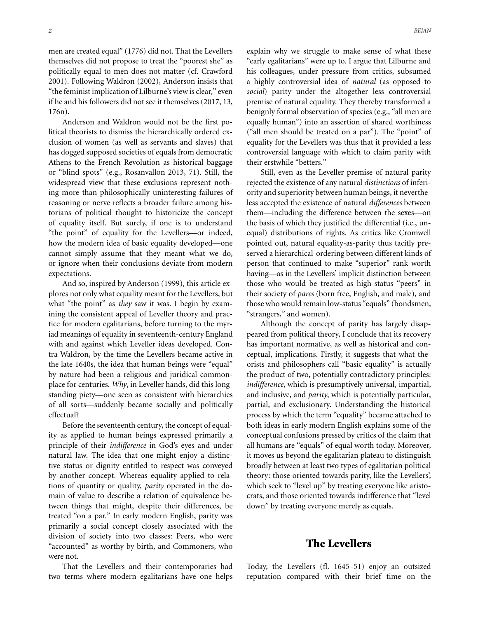men are created equal" (1776) did not. That the Levellers themselves did not propose to treat the "poorest she" as politically equal to men does not matter (cf. Crawford 2001). Following Waldron (2002), Anderson insists that "the feminist implication of Lilburne's view is clear," even if he and his followers did not see it themselves (2017, 13, 176n).

Anderson and Waldron would not be the first political theorists to dismiss the hierarchically ordered exclusion of women (as well as servants and slaves) that has dogged supposed societies of equals from democratic Athens to the French Revolution as historical baggage or "blind spots" (e.g., Rosanvallon 2013, 71). Still, the widespread view that these exclusions represent nothing more than philosophically uninteresting failures of reasoning or nerve reflects a broader failure among historians of political thought to historicize the concept of equality itself. But surely, if one is to understand "the point" of equality for the Levellers—or indeed, how the modern idea of basic equality developed—one cannot simply assume that they meant what we do, or ignore when their conclusions deviate from modern expectations.

And so, inspired by Anderson (1999), this article explores not only what equality meant for the Levellers, but what "the point" as *they* saw it was. I begin by examining the consistent appeal of Leveller theory and practice for modern egalitarians, before turning to the myriad meanings of equality in seventeenth-century England with and against which Leveller ideas developed. Contra Waldron, by the time the Levellers became active in the late 1640s, the idea that human beings were "equal" by nature had been a religious and juridical commonplace for centuries. *Why*, in Leveller hands, did this longstanding piety—one seen as consistent with hierarchies of all sorts—suddenly became socially and politically effectual?

Before the seventeenth century, the concept of equality as applied to human beings expressed primarily a principle of their *indifference* in God's eyes and under natural law. The idea that one might enjoy a distinctive status or dignity entitled to respect was conveyed by another concept. Whereas equality applied to relations of quantity or quality, *parity* operated in the domain of value to describe a relation of equivalence between things that might, despite their differences, be treated "on a par." In early modern English, parity was primarily a social concept closely associated with the division of society into two classes: Peers, who were "accounted" as worthy by birth, and Commoners, who were not.

That the Levellers and their contemporaries had two terms where modern egalitarians have one helps explain why we struggle to make sense of what these "early egalitarians" were up to. I argue that Lilburne and his colleagues, under pressure from critics, subsumed a highly controversial idea of *natural* (as opposed to *social*) parity under the altogether less controversial premise of natural equality. They thereby transformed a benignly formal observation of species (e.g., "all men are equally human") into an assertion of shared worthiness ("all men should be treated on a par"). The "point" of equality for the Levellers was thus that it provided a less controversial language with which to claim parity with their erstwhile "betters."

Still, even as the Leveller premise of natural parity rejected the existence of any natural *distinctions* of inferiority and superiority between human beings, it nevertheless accepted the existence of natural *differences* between them—including the difference between the sexes—on the basis of which they justified the differential (i.e., unequal) distributions of rights. As critics like Cromwell pointed out, natural equality-as-parity thus tacitly preserved a hierarchical-ordering between different kinds of person that continued to make "superior" rank worth having—as in the Levellers' implicit distinction between those who would be treated as high-status "peers" in their society of *pares* (born free, English, and male), and those who would remain low-status "equals" (bondsmen, "strangers," and women).

Although the concept of parity has largely disappeared from political theory, I conclude that its recovery has important normative, as well as historical and conceptual, implications. Firstly, it suggests that what theorists and philosophers call "basic equality" is actually the product of two, potentially contradictory principles: *indifference*, which is presumptively universal, impartial, and inclusive, and *parity*, which is potentially particular, partial, and exclusionary. Understanding the historical process by which the term "equality" became attached to both ideas in early modern English explains some of the conceptual confusions pressed by critics of the claim that all humans are "equals" of equal worth today. Moreover, it moves us beyond the egalitarian plateau to distinguish broadly between at least two types of egalitarian political theory: those oriented towards parity, like the Levellers', which seek to "level up" by treating everyone like aristocrats, and those oriented towards indifference that "level down" by treating everyone merely as equals.

#### **The Levellers**

Today, the Levellers (fl. 1645–51) enjoy an outsized reputation compared with their brief time on the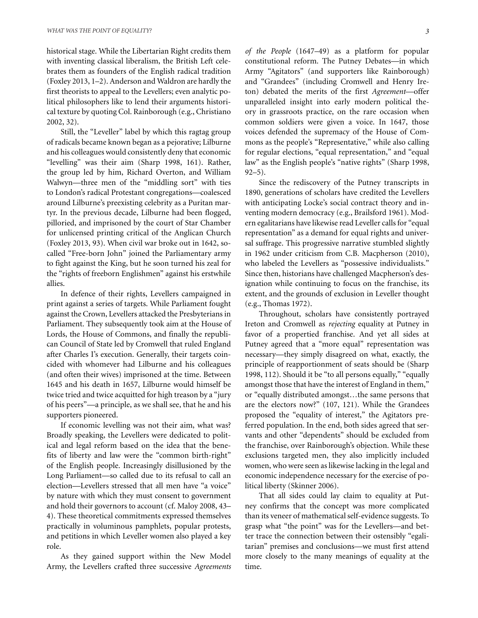historical stage. While the Libertarian Right credits them with inventing classical liberalism, the British Left celebrates them as founders of the English radical tradition (Foxley 2013, 1–2). Anderson and Waldron are hardly the first theorists to appeal to the Levellers; even analytic political philosophers like to lend their arguments historical texture by quoting Col. Rainborough (e.g., Christiano 2002, 32).

Still, the "Leveller" label by which this ragtag group of radicals became known began as a pejorative; Lilburne and his colleagues would consistently deny that economic "levelling" was their aim (Sharp 1998, 161). Rather, the group led by him, Richard Overton, and William Walwyn—three men of the "middling sort" with ties to London's radical Protestant congregations—coalesced around Lilburne's preexisting celebrity as a Puritan martyr. In the previous decade, Lilburne had been flogged, pilloried, and imprisoned by the court of Star Chamber for unlicensed printing critical of the Anglican Church (Foxley 2013, 93). When civil war broke out in 1642, socalled "Free-born John" joined the Parliamentary army to fight against the King, but he soon turned his zeal for the "rights of freeborn Englishmen" against his erstwhile allies.

In defence of their rights, Levellers campaigned in print against a series of targets. While Parliament fought against the Crown, Levellers attacked the Presbyterians in Parliament. They subsequently took aim at the House of Lords, the House of Commons, and finally the republican Council of State led by Cromwell that ruled England after Charles I's execution. Generally, their targets coincided with whomever had Lilburne and his colleagues (and often their wives) imprisoned at the time. Between 1645 and his death in 1657, Lilburne would himself be twice tried and twice acquitted for high treason by a "jury of his peers"—a principle, as we shall see, that he and his supporters pioneered.

If economic levelling was not their aim, what was? Broadly speaking, the Levellers were dedicated to political and legal reform based on the idea that the benefits of liberty and law were the "common birth-right" of the English people. Increasingly disillusioned by the Long Parliament—so called due to its refusal to call an election—Levellers stressed that all men have "a voice" by nature with which they must consent to government and hold their governors to account (cf. Maloy 2008, 43– 4). These theoretical commitments expressed themselves practically in voluminous pamphlets, popular protests, and petitions in which Leveller women also played a key role.

As they gained support within the New Model Army, the Levellers crafted three successive *Agreements* *of the People* (1647–49) as a platform for popular constitutional reform. The Putney Debates—in which Army "Agitators" (and supporters like Rainborough) and "Grandees" (including Cromwell and Henry Ireton) debated the merits of the first *Agreement*—offer unparalleled insight into early modern political theory in grassroots practice, on the rare occasion when common soldiers were given a voice. In 1647, those voices defended the supremacy of the House of Commons as the people's "Representative," while also calling for regular elections, "equal representation," and "equal law" as the English people's "native rights" (Sharp 1998, 92–5).

Since the rediscovery of the Putney transcripts in 1890, generations of scholars have credited the Levellers with anticipating Locke's social contract theory and inventing modern democracy (e.g., Brailsford 1961). Modern egalitarians have likewise read Leveller calls for "equal representation" as a demand for equal rights and universal suffrage. This progressive narrative stumbled slightly in 1962 under criticism from C.B. Macpherson (2010), who labeled the Levellers as "possessive individualists." Since then, historians have challenged Macpherson's designation while continuing to focus on the franchise, its extent, and the grounds of exclusion in Leveller thought (e.g., Thomas 1972).

Throughout, scholars have consistently portrayed Ireton and Cromwell as *rejecting* equality at Putney in favor of a propertied franchise. And yet all sides at Putney agreed that a "more equal" representation was necessary—they simply disagreed on what, exactly, the principle of reapportionment of seats should be (Sharp 1998, 112). Should it be "to all persons equally," "equally amongst those that have the interest of England in them," or "equally distributed amongst…the same persons that are the electors now?" (107, 121). While the Grandees proposed the "equality of interest," the Agitators preferred population. In the end, both sides agreed that servants and other "dependents" should be excluded from the franchise, over Rainborough's objection. While these exclusions targeted men, they also implicitly included women, who were seen as likewise lacking in the legal and economic independence necessary for the exercise of political liberty (Skinner 2006).

That all sides could lay claim to equality at Putney confirms that the concept was more complicated than its veneer of mathematical self-evidence suggests. To grasp what "the point" was for the Levellers—and better trace the connection between their ostensibly "egalitarian" premises and conclusions—we must first attend more closely to the many meanings of equality at the time.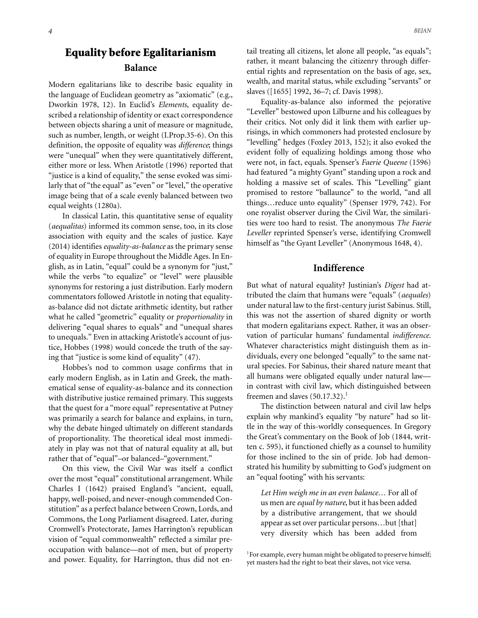### **Equality before Egalitarianism Balance**

Modern egalitarians like to describe basic equality in the language of Euclidean geometry as "axiomatic" (e.g., Dworkin 1978, 12). In Euclid's *Elements*, equality described a relationship of identity or exact correspondence between objects sharing a unit of measure or magnitude, such as number, length, or weight (I.Prop.35-6). On this definition, the opposite of equality was *difference*; things were "unequal" when they were quantitatively different, either more or less. When Aristotle (1996) reported that "justice is a kind of equality," the sense evoked was similarly that of "the equal" as "even" or "level," the operative image being that of a scale evenly balanced between two equal weights (1280a).

In classical Latin, this quantitative sense of equality (*aequalitas*) informed its common sense, too, in its close association with equity and the scales of justice. Kaye (2014) identifies *equality-as-balance* as the primary sense of equality in Europe throughout the Middle Ages. In English, as in Latin, "equal" could be a synonym for "just," while the verbs "to equalize" or "level" were plausible synonyms for restoring a just distribution. Early modern commentators followed Aristotle in noting that equalityas-balance did not dictate arithmetic identity, but rather what he called "geometric" equality or *proportionality* in delivering "equal shares to equals" and "unequal shares to unequals." Even in attacking Aristotle's account of justice, Hobbes (1998) would concede the truth of the saying that "justice is some kind of equality" (47).

Hobbes's nod to common usage confirms that in early modern English, as in Latin and Greek, the mathematical sense of equality-as-balance and its connection with distributive justice remained primary. This suggests that the quest for a "more equal" representative at Putney was primarily a search for balance and explains, in turn, why the debate hinged ultimately on different standards of proportionality. The theoretical ideal most immediately in play was not that of natural equality at all, but rather that of "equal"–or balanced–"government."

On this view, the Civil War was itself a conflict over the most "equal" constitutional arrangement. While Charles I (1642) praised England's "ancient, equall, happy, well-poised, and never-enough commended Constitution" as a perfect balance between Crown, Lords, and Commons, the Long Parliament disagreed. Later, during Cromwell's Protectorate, James Harrington's republican vision of "equal commonwealth" reflected a similar preoccupation with balance—not of men, but of property and power. Equality, for Harrington, thus did not entail treating all citizens, let alone all people, "as equals"; rather, it meant balancing the citizenry through differential rights and representation on the basis of age, sex, wealth, and marital status, while excluding "servants" or slaves ([1655] 1992, 36–7; cf. Davis 1998).

Equality-as-balance also informed the pejorative "Leveller" bestowed upon Lilburne and his colleagues by their critics. Not only did it link them with earlier uprisings, in which commoners had protested enclosure by "levelling" hedges (Foxley 2013, 152); it also evoked the evident folly of equalizing holdings among those who were not, in fact, equals. Spenser's *Faerie Queene* (1596) had featured "a mighty Gyant" standing upon a rock and holding a massive set of scales. This "Levelling" giant promised to restore "ballaunce" to the world, "and all things…reduce unto equality" (Spenser 1979, 742). For one royalist observer during the Civil War, the similarities were too hard to resist. The anonymous *The Faerie Leveller* reprinted Spenser's verse, identifying Cromwell himself as "the Gyant Leveller" (Anonymous 1648, 4).

#### **Indifference**

But what of natural equality? Justinian's *Digest* had attributed the claim that humans were "equals" (*aequales*) under natural law to the first-century jurist Sabinus. Still, this was not the assertion of shared dignity or worth that modern egalitarians expect. Rather, it was an observation of particular humans' fundamental *indifference*. Whatever characteristics might distinguish them as individuals, every one belonged "equally" to the same natural species. For Sabinus, their shared nature meant that all humans were obligated equally under natural law in contrast with civil law, which distinguished between freemen and slaves  $(50.17.32).$ <sup>1</sup>

The distinction between natural and civil law helps explain why mankind's equality "by nature" had so little in the way of this-worldly consequences. In Gregory the Great's commentary on the Book of Job (1844, written c. 595), it functioned chiefly as a counsel to humility for those inclined to the sin of pride. Job had demonstrated his humility by submitting to God's judgment on an "equal footing" with his servants:

*Let Him weigh me in an even balance*… For all of us men are *equal by nature*, but it has been added by a distributive arrangement, that we should appear as set over particular persons…but [that] very diversity which has been added from

<sup>1</sup>For example, every human might be obligated to preserve himself; yet masters had the right to beat their slaves, not vice versa.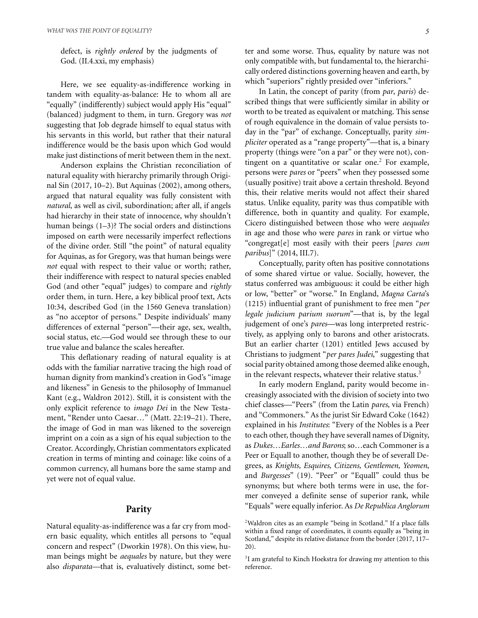defect, is *rightly ordered* by the judgments of God. (II.4.xxi, my emphasis)

Here, we see equality-as-indifference working in tandem with equality-as-balance: He to whom all are "equally" (indifferently) subject would apply His "equal" (balanced) judgment to them, in turn. Gregory was *not* suggesting that Job degrade himself to equal status with his servants in this world, but rather that their natural indifference would be the basis upon which God would make just distinctions of merit between them in the next.

Anderson explains the Christian reconciliation of natural equality with hierarchy primarily through Original Sin (2017, 10–2). But Aquinas (2002), among others, argued that natural equality was fully consistent with *natural*, as well as civil, subordination; after all, if angels had hierarchy in their state of innocence, why shouldn't human beings (1–3)? The social orders and distinctions imposed on earth were necessarily imperfect reflections of the divine order. Still "the point" of natural equality for Aquinas, as for Gregory, was that human beings were *not* equal with respect to their value or worth; rather, their indifference with respect to natural species enabled God (and other "equal" judges) to compare and *rightly* order them, in turn. Here, a key biblical proof text, Acts 10:34, described God (in the 1560 Geneva translation) as "no acceptor of persons." Despite individuals' many differences of external "person"—their age, sex, wealth, social status, etc.—God would see through these to our true value and balance the scales hereafter.

This deflationary reading of natural equality is at odds with the familiar narrative tracing the high road of human dignity from mankind's creation in God's "image and likeness" in Genesis to the philosophy of Immanuel Kant (e.g., Waldron 2012). Still, it is consistent with the only explicit reference to *imago Dei* in the New Testament, "Render unto Caesar…" (Matt. 22:19–21). There, the image of God in man was likened to the sovereign imprint on a coin as a sign of his equal subjection to the Creator. Accordingly, Christian commentators explicated creation in terms of minting and coinage: like coins of a common currency, all humans bore the same stamp and yet were not of equal value.

#### **Parity**

Natural equality-as-indifference was a far cry from modern basic equality, which entitles all persons to "equal concern and respect" (Dworkin 1978). On this view, human beings might be *aequales* by nature, but they were also *disparata—*that is, evaluatively distinct, some better and some worse. Thus, equality by nature was not only compatible with, but fundamental to, the hierarchically ordered distinctions governing heaven and earth, by which "superiors" rightly presided over "inferiors."

In Latin, the concept of parity (from *par*, *paris*) described things that were sufficiently similar in ability or worth to be treated as equivalent or matching. This sense of rough equivalence in the domain of value persists today in the "par" of exchange. Conceptually, parity *simpliciter* operated as a "range property"—that is, a binary property (things were "on a par" or they were not), contingent on a quantitative or scalar one.<sup>2</sup> For example, persons were *pares* or "peers" when they possessed some (usually positive) trait above a certain threshold. Beyond this, their relative merits would not affect their shared status. Unlike equality, parity was thus compatible with difference, both in quantity and quality. For example, Cicero distinguished between those who were *aequales* in age and those who were *pares* in rank or virtue who "congregat[e] most easily with their peers [*pares cum paribus*]" (2014, III.7).

Conceptually, parity often has positive connotations of some shared virtue or value. Socially, however, the status conferred was ambiguous: it could be either high or low, "better" or "worse." In England, *Magna Carta*'s (1215) influential grant of punishment to free men "*per legale judicium parium suorum*"—that is, by the legal judgement of one's *pares*—was long interpreted restrictively, as applying only to barons and other aristocrats. But an earlier charter (1201) entitled Jews accused by Christians to judgment "*per pares Judei*," suggesting that social parity obtained among those deemed alike enough, in the relevant respects, whatever their relative status.<sup>3</sup>

In early modern England, parity would become increasingly associated with the division of society into two chief classes—"Peers" (from the Latin *pares*, via French) and "Commoners." As the jurist Sir Edward Coke (1642) explained in his *Institutes*: "Every of the Nobles is a Peer to each other, though they have severall names of Dignity, as *Dukes…Earles…and Barons*; so…each Commoner is a Peer or Equall to another, though they be of severall Degrees, as *Knights, Esquires, Citizens, Gentlemen, Yeomen*, and *Burgesses*" (19). "Peer" or "Equall" could thus be synonyms; but where both terms were in use, the former conveyed a definite sense of superior rank, while "Equals" were equally inferior. As *De Republica Anglorum*

<sup>&</sup>lt;sup>2</sup>Waldron cites as an example "being in Scotland." If a place falls within a fixed range of coordinates, it counts equally as "being in Scotland," despite its relative distance from the border (2017, 117– 20).

<sup>&</sup>lt;sup>3</sup>I am grateful to Kinch Hoekstra for drawing my attention to this reference.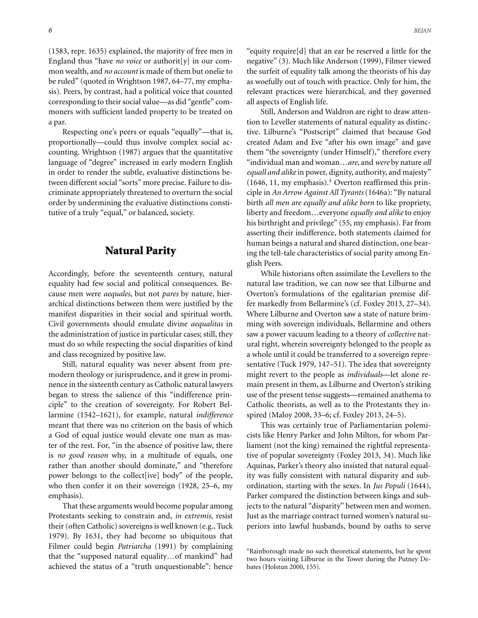(1583, repr. 1635) explained, the majority of free men in England thus "have *no voice* or authorit<sup>[y]</sup> in our common wealth, and *no account* is made of them but onelie to be ruled" (quoted in Wrightson 1987, 64–77, my emphasis). Peers, by contrast, had a political voice that counted corresponding to their social value—as did "gentle" commoners with sufficient landed property to be treated on a par.

Respecting one's peers or equals "equally"—that is, proportionally—could thus involve complex social accounting. Wrightson (1987) argues that the quantitative language of "degree" increased in early modern English in order to render the subtle, evaluative distinctions between different social "sorts" more precise. Failure to discriminate appropriately threatened to overturn the social order by undermining the evaluative distinctions constitutive of a truly "equal," or balanced, society.

#### **Natural Parity**

Accordingly, before the seventeenth century, natural equality had few social and political consequences. Because men were *aequales*, but not *pares* by nature, hierarchical distinctions between them were justified by the manifest disparities in their social and spiritual worth. Civil governments should emulate divine *aequalitas* in the administration of justice in particular cases; still, they must do so while respecting the social disparities of kind and class recognized by positive law.

Still, natural equality was never absent from premodern theology or jurisprudence, and it grew in prominence in the sixteenth century as Catholic natural lawyers began to stress the salience of this "indifference principle" to the creation of sovereignty. For Robert Bellarmine (1542–1621), for example, natural *indifference* meant that there was no criterion on the basis of which a God of equal justice would elevate one man as master of the rest. For, "in the absence of positive law, there is *no good reason* why, in a multitude of equals, one rather than another should dominate," and "therefore power belongs to the collect[ive] body" of the people, who then confer it on their sovereign (1928, 25–6, my emphasis).

That these arguments would become popular among Protestants seeking to constrain and, *in extremis*, resist their (often Catholic) sovereigns is well known (e.g., Tuck 1979). By 1631, they had become so ubiquitous that Filmer could begin *Patriarcha* (1991) by complaining that the "supposed natural equality…of mankind" had achieved the status of a "truth unquestionable": hence "equity require[d] that an ear be reserved a little for the negative" (3). Much like Anderson (1999), Filmer viewed the surfeit of equality talk among the theorists of his day as woefully out of touch with practice. Only for him, the relevant practices were hierarchical, and they governed all aspects of English life.

Still, Anderson and Waldron are right to draw attention to Leveller statements of natural equality as distinctive. Lilburne's "Postscript" claimed that because God created Adam and Eve "after his own image" and gave them "the sovereignty (under Himself)," therefore every "individual man and woman…*are*, and *were* by nature *all equall and alike*in power, dignity, authority, and majesty"  $(1646, 11, \text{my emphasis})$ .<sup>4</sup> Overton reaffirmed this principle in *An Arrow Against All Tyrants* (1646a): "By natural birth *all men are equally and alike born* to like propriety, liberty and freedom…everyone *equally and alike* to enjoy his birthright and privilege" (55, my emphasis). Far from asserting their indifference, both statements claimed for human beings a natural and shared distinction, one bearing the tell-tale characteristics of social parity among English Peers.

While historians often assimilate the Levellers to the natural law tradition, we can now see that Lilburne and Overton's formulations of the egalitarian premise differ markedly from Bellarmine's (cf. Foxley 2013, 27–34). Where Lilburne and Overton saw a state of nature brimming with sovereign individuals, Bellarmine and others saw a power vacuum leading to a theory of *collective* natural right, wherein sovereignty belonged to the people as a whole until it could be transferred to a sovereign representative (Tuck 1979, 147–51). The idea that sovereignty might revert to the people as *individuals*—let alone remain present in them, as Lilburne and Overton's striking use of the present tense suggests—remained anathema to Catholic theorists, as well as to the Protestants they inspired (Maloy 2008, 33–6; cf. Foxley 2013, 24–5).

This was certainly true of Parliamentarian polemicists like Henry Parker and John Milton, for whom Parliament (not the king) remained the rightful representative of popular sovereignty (Foxley 2013, 34). Much like Aquinas, Parker's theory also insisted that natural equality was fully consistent with natural disparity and subordination, starting with the sexes. In *Jus Populi* (1644), Parker compared the distinction between kings and subjects to the natural "disparity" between men and women. Just as the marriage contract turned women's natural superiors into lawful husbands, bound by oaths to serve

<sup>4</sup>Rainborough made no such theoretical statements, but he spent two hours visiting Lilburne in the Tower during the Putney Debates (Holstun 2000, 155).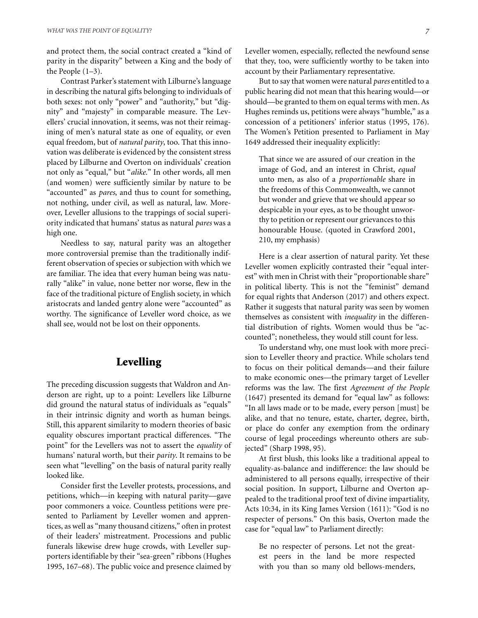and protect them, the social contract created a "kind of parity in the disparity" between a King and the body of the People (1–3).

Contrast Parker's statement with Lilburne's language in describing the natural gifts belonging to individuals of both sexes: not only "power" and "authority," but "dignity" and "majesty" in comparable measure. The Levellers' crucial innovation, it seems, was not their reimagining of men's natural state as one of equality, or even equal freedom, but of *natural parity*, too. That this innovation was deliberate is evidenced by the consistent stress placed by Lilburne and Overton on individuals' creation not only as "equal," but "*alike*." In other words, all men (and women) were sufficiently similar by nature to be "accounted" as *pares*, and thus to count for something, not nothing, under civil, as well as natural, law. Moreover, Leveller allusions to the trappings of social superiority indicated that humans' status as natural *pares* was a high one.

Needless to say, natural parity was an altogether more controversial premise than the traditionally indifferent observation of species or subjection with which we are familiar. The idea that every human being was naturally "alike" in value, none better nor worse, flew in the face of the traditional picture of English society, in which aristocrats and landed gentry alone were "accounted" as worthy. The significance of Leveller word choice, as we shall see, would not be lost on their opponents.

#### **Levelling**

The preceding discussion suggests that Waldron and Anderson are right, up to a point: Levellers like Lilburne did ground the natural status of individuals as "equals" in their intrinsic dignity and worth as human beings. Still, this apparent similarity to modern theories of basic equality obscures important practical differences. "The point" for the Levellers was not to assert the *equality* of humans' natural worth, but their *parity*. It remains to be seen what "levelling" on the basis of natural parity really looked like.

Consider first the Leveller protests, processions, and petitions, which—in keeping with natural parity—gave poor commoners a voice. Countless petitions were presented to Parliament by Leveller women and apprentices, as well as "many thousand citizens," often in protest of their leaders' mistreatment. Processions and public funerals likewise drew huge crowds, with Leveller supporters identifiable by their "sea-green" ribbons (Hughes 1995, 167–68). The public voice and presence claimed by

But to say that women were natural *pares* entitled to a public hearing did not mean that this hearing would—or should—be granted to them on equal terms with men. As Hughes reminds us, petitions were always "humble," as a concession of a petitioners' inferior status (1995, 176). The Women's Petition presented to Parliament in May 1649 addressed their inequality explicitly:

account by their Parliamentary representative.

That since we are assured of our creation in the image of God, and an interest in Christ, *equal* unto men, as also of a *proportionable* share in the freedoms of this Commonwealth, we cannot but wonder and grieve that we should appear so despicable in your eyes, as to be thought unworthy to petition or represent our grievances to this honourable House. (quoted in Crawford 2001, 210, my emphasis)

Here is a clear assertion of natural parity. Yet these Leveller women explicitly contrasted their "equal interest" with men in Christ with their "proportionable share" in political liberty. This is not the "feminist" demand for equal rights that Anderson (2017) and others expect. Rather it suggests that natural parity was seen by women themselves as consistent with *inequality* in the differential distribution of rights. Women would thus be "accounted"; nonetheless, they would still count for less.

To understand why, one must look with more precision to Leveller theory and practice. While scholars tend to focus on their political demands—and their failure to make economic ones—the primary target of Leveller reforms was the law. The first *Agreement of the People* (1647) presented its demand for "equal law" as follows: "In all laws made or to be made, every person [must] be alike, and that no tenure, estate, charter, degree, birth, or place do confer any exemption from the ordinary course of legal proceedings whereunto others are subjected" (Sharp 1998, 95).

At first blush, this looks like a traditional appeal to equality-as-balance and indifference: the law should be administered to all persons equally, irrespective of their social position. In support, Lilburne and Overton appealed to the traditional proof text of divine impartiality, Acts 10:34, in its King James Version (1611): "God is no respecter of persons." On this basis, Overton made the case for "equal law" to Parliament directly:

Be no respecter of persons. Let not the greatest peers in the land be more respected with you than so many old bellows-menders,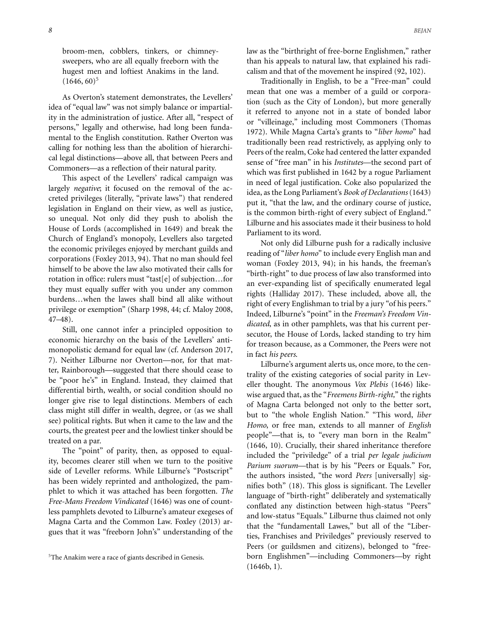broom-men, cobblers, tinkers, or chimneysweepers, who are all equally freeborn with the hugest men and loftiest Anakims in the land.  $(1646, 60)^5$ 

As Overton's statement demonstrates, the Levellers' idea of "equal law" was not simply balance or impartiality in the administration of justice. After all, "respect of persons," legally and otherwise, had long been fundamental to the English constitution. Rather Overton was calling for nothing less than the abolition of hierarchical legal distinctions—above all, that between Peers and Commoners—as a reflection of their natural parity.

This aspect of the Levellers' radical campaign was largely *negative*; it focused on the removal of the accreted privileges (literally, "private laws") that rendered legislation in England on their view, as well as justice, so unequal. Not only did they push to abolish the House of Lords (accomplished in 1649) and break the Church of England's monopoly, Levellers also targeted the economic privileges enjoyed by merchant guilds and corporations (Foxley 2013, 94). That no man should feel himself to be above the law also motivated their calls for rotation in office: rulers must "tast[e] of subjection…for they must equally suffer with you under any common burdens…when the lawes shall bind all alike without privilege or exemption" (Sharp 1998, 44; cf. Maloy 2008, 47–48).

Still, one cannot infer a principled opposition to economic hierarchy on the basis of the Levellers' antimonopolistic demand for equal law (cf. Anderson 2017, 7). Neither Lilburne nor Overton—nor, for that matter, Rainborough—suggested that there should cease to be "poor he's" in England. Instead, they claimed that differential birth, wealth, or social condition should no longer give rise to legal distinctions. Members of each class might still differ in wealth, degree, or (as we shall see) political rights. But when it came to the law and the courts, the greatest peer and the lowliest tinker should be treated on a par.

The "point" of parity, then, as opposed to equality, becomes clearer still when we turn to the positive side of Leveller reforms. While Lilburne's "Postscript" has been widely reprinted and anthologized, the pamphlet to which it was attached has been forgotten. *The Free-Mans Freedom Vindicated* (1646) was one of countless pamphlets devoted to Lilburne's amateur exegeses of Magna Carta and the Common Law. Foxley (2013) argues that it was "freeborn John's" understanding of the

law as the "birthright of free-borne Englishmen," rather than his appeals to natural law, that explained his radicalism and that of the movement he inspired (92, 102).

Traditionally in English, to be a "Free-man" could mean that one was a member of a guild or corporation (such as the City of London), but more generally it referred to anyone not in a state of bonded labor or "villeinage," including most Commoners (Thomas 1972). While Magna Carta's grants to "*liber homo*" had traditionally been read restrictively, as applying only to Peers of the realm, Coke had centered the latter expanded sense of "free man" in his *Institutes*—the second part of which was first published in 1642 by a rogue Parliament in need of legal justification. Coke also popularized the idea, as the Long Parliament's *Book of Declarations* (1643) put it, "that the law, and the ordinary course of justice, is the common birth-right of every subject of England." Lilburne and his associates made it their business to hold Parliament to its word.

Not only did Lilburne push for a radically inclusive reading of "*liber homo*" to include every English man and woman (Foxley 2013, 94); in his hands, the freeman's "birth-right" to due process of law also transformed into an ever-expanding list of specifically enumerated legal rights (Halliday 2017). These included, above all, the right of every Englishman to trial by a jury "of his peers." Indeed, Lilburne's "point" in the *Freeman's Freedom Vindicated*, as in other pamphlets, was that his current persecutor, the House of Lords, lacked standing to try him for treason because, as a Commoner, the Peers were not in fact *his peers*.

Lilburne's argument alerts us, once more, to the centrality of the existing categories of social parity in Leveller thought. The anonymous *Vox Plebis* (1646) likewise argued that, as the "*Freemens Birth-right,*" the rights of Magna Carta belonged not only to the better sort, but to "the whole English Nation." "This word, *liber Homo*, or free man, extends to all manner of *English* people"—that is, to "every man born in the Realm" (1646, 10). Crucially, their shared inheritance therefore included the "priviledge" of a trial *per legale judicium Parium suorum*—that is by his "Peers or Equals." For, the authors insisted, "the word *Peers* [universally] signifies both" (18). This gloss is significant. The Leveller language of "birth-right" deliberately and systematically conflated any distinction between high-status "Peers" and low-status "Equals." Lilburne thus claimed not only that the "fundamentall Lawes," but all of the "Liberties, Franchises and Priviledges" previously reserved to Peers (or guildsmen and citizens), belonged to "freeborn Englishmen"—including Commoners—by right (1646b, 1).

<sup>&</sup>lt;sup>5</sup>The Anakim were a race of giants described in Genesis.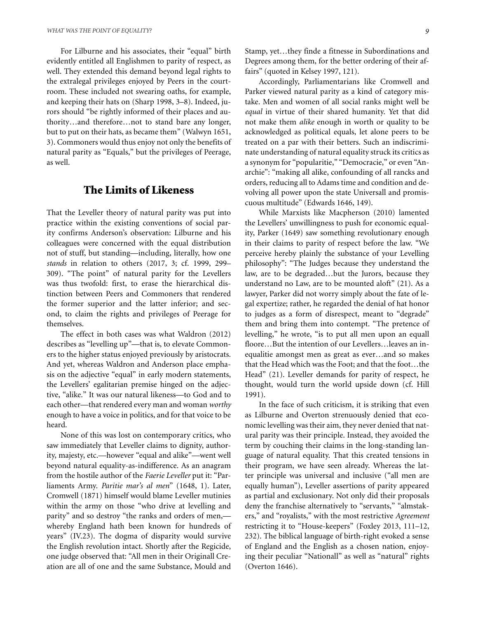For Lilburne and his associates, their "equal" birth evidently entitled all Englishmen to parity of respect, as well. They extended this demand beyond legal rights to the extralegal privileges enjoyed by Peers in the courtroom. These included not swearing oaths, for example, and keeping their hats on (Sharp 1998, 3–8). Indeed, jurors should "be rightly informed of their places and authority…and therefore…not to stand bare any longer, but to put on their hats, as became them" (Walwyn 1651, 3). Commoners would thus enjoy not only the benefits of natural parity as "Equals," but the privileges of Peerage, as well.

#### **The Limits of Likeness**

That the Leveller theory of natural parity was put into practice within the existing conventions of social parity confirms Anderson's observation: Lilburne and his colleagues were concerned with the equal distribution not of stuff, but standing—including, literally, how one *stands* in relation to others (2017, 3; cf. 1999, 299– 309). "The point" of natural parity for the Levellers was thus twofold: first, to erase the hierarchical distinction between Peers and Commoners that rendered the former superior and the latter inferior; and second, to claim the rights and privileges of Peerage for themselves.

The effect in both cases was what Waldron (2012) describes as "levelling up"—that is, to elevate Commoners to the higher status enjoyed previously by aristocrats. And yet, whereas Waldron and Anderson place emphasis on the adjective "equal" in early modern statements, the Levellers' egalitarian premise hinged on the adjective, "alike." It was our natural likeness—to God and to each other—that rendered every man and woman *worthy* enough to have a voice in politics, and for that voice to be heard.

None of this was lost on contemporary critics, who saw immediately that Leveller claims to dignity, authority, majesty, etc.—however "equal and alike"—went well beyond natural equality-as-indifference. As an anagram from the hostile author of the *Faerie Leveller* put it: "Parliaments Army. *Paritie mar's al men*" (1648, 1). Later, Cromwell (1871) himself would blame Leveller mutinies within the army on those "who drive at levelling and parity" and so destroy "the ranks and orders of men, whereby England hath been known for hundreds of years" (IV.23). The dogma of disparity would survive the English revolution intact. Shortly after the Regicide, one judge observed that: "All men in their Originall Creation are all of one and the same Substance, Mould and Stamp, yet…they finde a fitnesse in Subordinations and Degrees among them, for the better ordering of their affairs" (quoted in Kelsey 1997, 121).

Accordingly, Parliamentarians like Cromwell and Parker viewed natural parity as a kind of category mistake. Men and women of all social ranks might well be *equal* in virtue of their shared humanity. Yet that did not make them *alike* enough in worth or quality to be acknowledged as political equals, let alone peers to be treated on a par with their betters. Such an indiscriminate understanding of natural equality struck its critics as a synonym for "popularitie," "Democracie," or even "Anarchie": "making all alike, confounding of all rancks and orders, reducing all to Adams time and condition and devolving all power upon the state Universall and promiscuous multitude" (Edwards 1646, 149).

While Marxists like Macpherson (2010) lamented the Levellers' unwillingness to push for economic equality, Parker (1649) saw something revolutionary enough in their claims to parity of respect before the law. "We perceive hereby plainly the substance of your Levelling philosophy": "The Judges because they understand the law, are to be degraded…but the Jurors, because they understand no Law, are to be mounted aloft" (21). As a lawyer, Parker did not worry simply about the fate of legal expertize; rather, he regarded the denial of hat honor to judges as a form of disrespect, meant to "degrade" them and bring them into contempt. "The pretence of levelling," he wrote, "is to put all men upon an equall floore…But the intention of our Levellers…leaves an inequalitie amongst men as great as ever…and so makes that the Head which was the Foot; and that the foot…the Head" (21). Leveller demands for parity of respect, he thought, would turn the world upside down (cf. Hill 1991).

In the face of such criticism, it is striking that even as Lilburne and Overton strenuously denied that economic levelling was their aim, they never denied that natural parity was their principle. Instead, they avoided the term by couching their claims in the long-standing language of natural equality. That this created tensions in their program, we have seen already. Whereas the latter principle was universal and inclusive ("all men are equally human"), Leveller assertions of parity appeared as partial and exclusionary. Not only did their proposals deny the franchise alternatively to "servants," "almstakers," and "royalists," with the most restrictive *Agreement* restricting it to "House-keepers" (Foxley 2013, 111–12, 232). The biblical language of birth-right evoked a sense of England and the English as a chosen nation, enjoying their peculiar "Nationall" as well as "natural" rights (Overton 1646).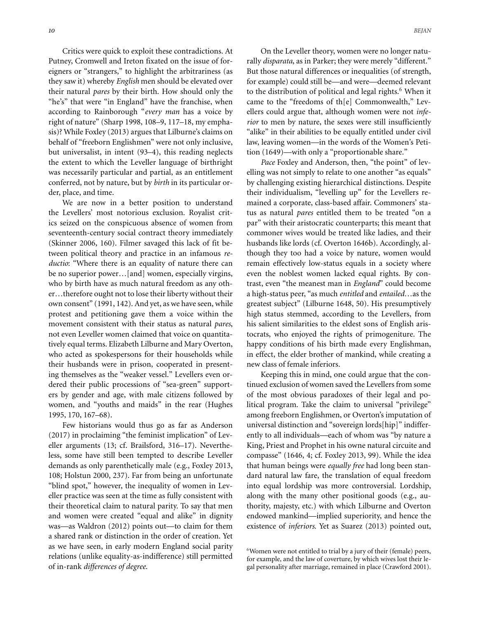Critics were quick to exploit these contradictions. At Putney, Cromwell and Ireton fixated on the issue of foreigners or "strangers," to highlight the arbitrariness (as they saw it) whereby *English* men should be elevated over their natural *pares* by their birth. How should only the "he's" that were "in England" have the franchise, when according to Rainborough "*every man* has a voice by right of nature" (Sharp 1998, 108–9, 117–18, my emphasis)? While Foxley (2013) argues that Lilburne's claims on behalf of "freeborn Englishmen" were not only inclusive, but universalist, in intent (93–4), this reading neglects the extent to which the Leveller language of birthright was necessarily particular and partial, as an entitlement conferred, not by nature, but by *birth* in its particular order, place, and time.

We are now in a better position to understand the Levellers' most notorious exclusion. Royalist critics seized on the conspicuous absence of women from seventeenth-century social contract theory immediately (Skinner 2006, 160). Filmer savaged this lack of fit between political theory and practice in an infamous *reductio*: "Where there is an equality of nature there can be no superior power…[and] women, especially virgins, who by birth have as much natural freedom as any other…therefore ought not to lose their liberty without their own consent" (1991, 142). And yet, as we have seen, while protest and petitioning gave them a voice within the movement consistent with their status as natural *pares*, not even Leveller women claimed that voice on quantitatively equal terms. Elizabeth Lilburne and Mary Overton, who acted as spokespersons for their households while their husbands were in prison, cooperated in presenting themselves as the "weaker vessel." Levellers even ordered their public processions of "sea-green" supporters by gender and age, with male citizens followed by women, and "youths and maids" in the rear (Hughes 1995, 170, 167–68).

Few historians would thus go as far as Anderson (2017) in proclaiming "the feminist implication" of Leveller arguments (13; cf. Brailsford, 316–17). Nevertheless, some have still been tempted to describe Leveller demands as only parenthetically male (e.g., Foxley 2013, 108; Holstun 2000, 237). Far from being an unfortunate "blind spot," however, the inequality of women in Leveller practice was seen at the time as fully consistent with their theoretical claim to natural parity. To say that men and women were created "equal and alike" in dignity was—as Waldron (2012) points out—to claim for them a shared rank or distinction in the order of creation. Yet as we have seen, in early modern England social parity relations (unlike equality-as-indifference) still permitted of in-rank *differences of degree*.

On the Leveller theory, women were no longer naturally *disparata*, as in Parker; they were merely "different." But those natural differences or inequalities (of strength, for example) could still be—and were—deemed relevant to the distribution of political and legal rights.<sup>6</sup> When it came to the "freedoms of th[e] Commonwealth," Levellers could argue that, although women were not *inferior* to men by nature, the sexes were still insufficiently "alike" in their abilities to be equally entitled under civil law, leaving women—in the words of the Women's Petition (1649)—with only a "proportionable share."

*Pace* Foxley and Anderson, then, "the point" of levelling was not simply to relate to one another "as equals" by challenging existing hierarchical distinctions. Despite their individualism, "levelling up" for the Levellers remained a corporate, class-based affair. Commoners' status as natural *pares* entitled them to be treated "on a par" with their aristocratic counterparts; this meant that commoner wives would be treated like ladies, and their husbands like lords (cf. Overton 1646b). Accordingly, although they too had a voice by nature, women would remain effectively low-status equals in a society where even the noblest women lacked equal rights. By contrast, even "the meanest man in *England*" could become a high-status peer, "as much *entitled* and *entailed*…as the greatest subject" (Lilburne 1648, 50). His presumptively high status stemmed, according to the Levellers, from his salient similarities to the eldest sons of English aristocrats, who enjoyed the rights of primogeniture. The happy conditions of his birth made every Englishman, in effect, the elder brother of mankind, while creating a new class of female inferiors.

Keeping this in mind, one could argue that the continued exclusion of women saved the Levellers from some of the most obvious paradoxes of their legal and political program. Take the claim to universal "privilege" among freeborn Englishmen, or Overton's imputation of universal distinction and "sovereign lords[hip]" indifferently to all individuals—each of whom was "by nature a King, Priest and Prophet in his owne natural circuite and compasse" (1646, 4; cf. Foxley 2013, 99). While the idea that human beings were *equally free* had long been standard natural law fare, the translation of equal freedom into equal lordship was more controversial. Lordship, along with the many other positional goods (e.g., authority, majesty, etc.) with which Lilburne and Overton endowed mankind—implied superiority, and hence the existence of *inferiors*. Yet as Suarez (2013) pointed out,

<sup>&</sup>lt;sup>6</sup>Women were not entitled to trial by a jury of their (female) peers, for example, and the law of coverture, by which wives lost their legal personality after marriage, remained in place (Crawford 2001).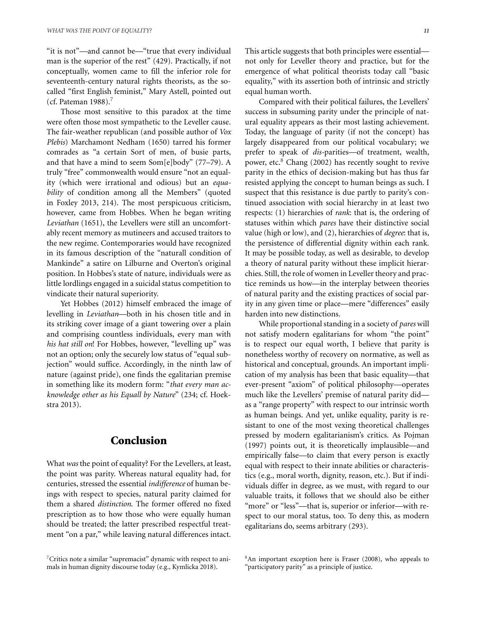"it is not"—and cannot be—"true that every individual man is the superior of the rest" (429). Practically, if not conceptually, women came to fill the inferior role for seventeenth-century natural rights theorists, as the socalled "first English feminist," Mary Astell, pointed out (cf. Pateman 1988).<sup>7</sup>

Those most sensitive to this paradox at the time were often those most sympathetic to the Leveller cause. The fair-weather republican (and possible author of *Vox Plebis*) Marchamont Nedham (1650) tarred his former comrades as "a certain Sort of men, of busie parts, and that have a mind to seem Som[e]body" (77–79). A truly "free" commonwealth would ensure "not an equality (which were irrational and odious) but an *equability* of condition among all the Members" (quoted in Foxley 2013, 214). The most perspicuous criticism, however, came from Hobbes. When he began writing *Leviathan* (1651), the Levellers were still an uncomfortably recent memory as mutineers and accused traitors to the new regime. Contemporaries would have recognized in its famous description of the "naturall condition of Mankinde" a satire on Lilburne and Overton's original position. In Hobbes's state of nature, individuals were as little lordlings engaged in a suicidal status competition to vindicate their natural superiority.

Yet Hobbes (2012) himself embraced the image of levelling in *Leviathan*—both in his chosen title and in its striking cover image of a giant towering over a plain and comprising countless individuals, every man with *his hat still on*! For Hobbes, however, "levelling up" was not an option; only the securely low status of "equal subjection" would suffice. Accordingly, in the ninth law of nature (against pride), one finds the egalitarian premise in something like its modern form: "*that every man acknowledge other as his Equall by Nature*" (234; cf. Hoekstra 2013).

#### **Conclusion**

What *was* the point of equality? For the Levellers, at least, the point was parity. Whereas natural equality had, for centuries, stressed the essential *indifference* of human beings with respect to species, natural parity claimed for them a shared *distinction*. The former offered no fixed prescription as to how those who were equally human should be treated; the latter prescribed respectful treatment "on a par," while leaving natural differences intact. This article suggests that both principles were essential not only for Leveller theory and practice, but for the emergence of what political theorists today call "basic equality," with its assertion both of intrinsic and strictly equal human worth.

Compared with their political failures, the Levellers' success in subsuming parity under the principle of natural equality appears as their most lasting achievement. Today, the language of parity (if not the concept) has largely disappeared from our political vocabulary; we prefer to speak of *dis-*parities—of treatment, wealth, power, etc.<sup>8</sup> Chang (2002) has recently sought to revive parity in the ethics of decision-making but has thus far resisted applying the concept to human beings as such. I suspect that this resistance is due partly to parity's continued association with social hierarchy in at least two respects: (1) hierarchies of *rank*: that is, the ordering of statuses within which *pares* have their distinctive social value (high or low), and (2), hierarchies of *degree*: that is, the persistence of differential dignity within each rank. It may be possible today, as well as desirable, to develop a theory of natural parity without these implicit hierarchies. Still, the role of women in Leveller theory and practice reminds us how—in the interplay between theories of natural parity and the existing practices of social parity in any given time or place—mere "differences" easily harden into new distinctions.

While proportional standing in a society of *pares* will not satisfy modern egalitarians for whom "the point" is to respect our equal worth, I believe that parity is nonetheless worthy of recovery on normative, as well as historical and conceptual, grounds. An important implication of my analysis has been that basic equality—that ever-present "axiom" of political philosophy—operates much like the Levellers' premise of natural parity did as a "range property" with respect to our intrinsic worth as human beings. And yet, unlike equality, parity is resistant to one of the most vexing theoretical challenges pressed by modern egalitarianism's critics. As Pojman (1997) points out, it is theoretically implausible—and empirically false—to claim that every person is exactly equal with respect to their innate abilities or characteristics (e.g., moral worth, dignity, reason, etc.). But if individuals differ in degree, as we must, with regard to our valuable traits, it follows that we should also be either "more" or "less"—that is, superior or inferior—with respect to our moral status, too. To deny this, as modern egalitarians do, seems arbitrary (293).

<sup>7</sup>Critics note a similar "supremacist" dynamic with respect to animals in human dignity discourse today (e.g., Kymlicka 2018).

<sup>8</sup>An important exception here is Fraser (2008), who appeals to "participatory parity" as a principle of justice.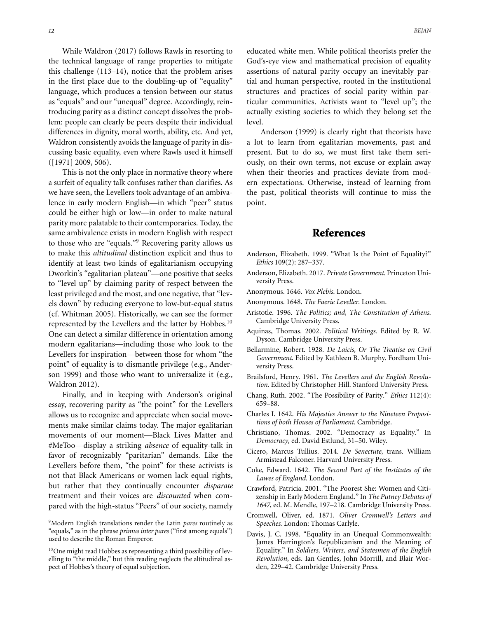While Waldron (2017) follows Rawls in resorting to the technical language of range properties to mitigate this challenge (113–14), notice that the problem arises in the first place due to the doubling-up of "equality" language, which produces a tension between our status as "equals" and our "unequal" degree. Accordingly, reintroducing parity as a distinct concept dissolves the problem: people can clearly be peers despite their individual differences in dignity, moral worth, ability, etc. And yet, Waldron consistently avoids the language of parity in discussing basic equality, even where Rawls used it himself ([1971] 2009, 506).

This is not the only place in normative theory where a surfeit of equality talk confuses rather than clarifies. As we have seen, the Levellers took advantage of an ambivalence in early modern English—in which "peer" status could be either high or low—in order to make natural parity more palatable to their contemporaries. Today, the same ambivalence exists in modern English with respect to those who are "equals."9 Recovering parity allows us to make this *altitudinal* distinction explicit and thus to identify at least two kinds of egalitarianism occupying Dworkin's "egalitarian plateau"—one positive that seeks to "level up" by claiming parity of respect between the least privileged and the most, and one negative, that "levels down" by reducing everyone to low-but-equal status (cf. Whitman 2005). Historically, we can see the former represented by the Levellers and the latter by Hobbes.<sup>10</sup> One can detect a similar difference in orientation among modern egalitarians—including those who look to the Levellers for inspiration—between those for whom "the point" of equality is to dismantle privilege (e.g., Anderson 1999) and those who want to universalize it (e.g., Waldron 2012).

Finally, and in keeping with Anderson's original essay, recovering parity as "the point" for the Levellers allows us to recognize and appreciate when social movements make similar claims today. The major egalitarian movements of our moment—Black Lives Matter and #MeToo—display a striking *absence* of equality-talk in favor of recognizably "paritarian" demands. Like the Levellers before them, "the point" for these activists is not that Black Americans or women lack equal rights, but rather that they continually encounter *disparate* treatment and their voices are *discounted* when compared with the high-status "Peers" of our society, namely educated white men. While political theorists prefer the God's-eye view and mathematical precision of equality assertions of natural parity occupy an inevitably partial and human perspective, rooted in the institutional structures and practices of social parity within particular communities. Activists want to "level up"; the actually existing societies to which they belong set the level.

Anderson (1999) is clearly right that theorists have a lot to learn from egalitarian movements, past and present. But to do so, we must first take them seriously, on their own terms, not excuse or explain away when their theories and practices deviate from modern expectations. Otherwise, instead of learning from the past, political theorists will continue to miss the point.

#### **References**

- Anderson, Elizabeth. 1999. "What Is the Point of Equality?" *Ethics* 109(2): 287–337.
- Anderson, Elizabeth. 2017. *Private Government*. Princeton University Press.
- Anonymous. 1646. *Vox Plebis*. London.
- Anonymous. 1648. *The Faerie Leveller*. London.
- Aristotle. 1996. *The Politics; and, The Constitution of Athens*. Cambridge University Press.
- Aquinas, Thomas. 2002. *Political Writings*. Edited by R. W. Dyson. Cambridge University Press.
- Bellarmine, Robert. 1928. *De Laicis, Or The Treatise on Civil Government*. Edited by Kathleen B. Murphy. Fordham University Press.
- Brailsford, Henry. 1961. *The Levellers and the English Revolution*. Edited by Christopher Hill. Stanford University Press.
- Chang, Ruth. 2002. "The Possibility of Parity." *Ethics* 112(4): 659–88.
- Charles I. 1642. *His Majesties Answer to the Nineteen Propositions of both Houses of Parliament*. Cambridge.
- Christiano, Thomas. 2002. "Democracy as Equality." In *Democracy*, ed. David Estlund, 31–50. Wiley.
- Cicero, Marcus Tullius. 2014. *De Senectute*, trans. William Armistead Falconer. Harvard University Press.
- Coke, Edward. 1642. *The Second Part of the Institutes of the Lawes of England*. London.
- Crawford, Patricia. 2001. "The Poorest She: Women and Citizenship in Early Modern England." In *The Putney Debates of 1647*, ed. M. Mendle, 197–218. Cambridge University Press.
- Cromwell, Oliver, ed. 1871. *Oliver Cromwell's Letters and Speeches*. London: Thomas Carlyle.
- Davis, J. C. 1998. "Equality in an Unequal Commonwealth: James Harrington's Republicanism and the Meaning of Equality." In *Soldiers, Writers, and Statesmen of the English Revolution*, eds. Ian Gentles, John Morrill, and Blair Worden, 229–42. Cambridge University Press.

<sup>9</sup>Modern English translations render the Latin *pares* routinely as "equals," as in the phrase *primus inter pares* ("first among equals") used to describe the Roman Emperor.

<sup>&</sup>lt;sup>10</sup>One might read Hobbes as representing a third possibility of levelling to "the middle," but this reading neglects the altitudinal aspect of Hobbes's theory of equal subjection.